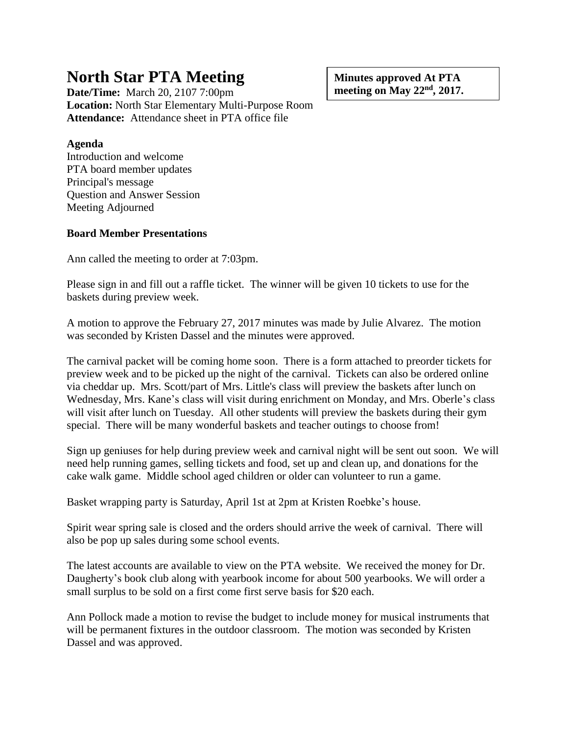## **North Star PTA Meeting**

**Date/Time:** March 20, 2107 7:00pm **Location:** North Star Elementary Multi-Purpose Room **Attendance:** Attendance sheet in PTA office file

**Agenda**

Introduction and welcome PTA board member updates Principal's message Question and Answer Session Meeting Adjourned

## **Board Member Presentations**

Ann called the meeting to order at 7:03pm.

Please sign in and fill out a raffle ticket. The winner will be given 10 tickets to use for the baskets during preview week.

A motion to approve the February 27, 2017 minutes was made by Julie Alvarez. The motion was seconded by Kristen Dassel and the minutes were approved.

The carnival packet will be coming home soon. There is a form attached to preorder tickets for preview week and to be picked up the night of the carnival. Tickets can also be ordered online via cheddar up. Mrs. Scott/part of Mrs. Little's class will preview the baskets after lunch on Wednesday, Mrs. Kane's class will visit during enrichment on Monday, and Mrs. Oberle's class will visit after lunch on Tuesday. All other students will preview the baskets during their gym special. There will be many wonderful baskets and teacher outings to choose from!

Sign up geniuses for help during preview week and carnival night will be sent out soon. We will need help running games, selling tickets and food, set up and clean up, and donations for the cake walk game. Middle school aged children or older can volunteer to run a game.

Basket wrapping party is Saturday, April 1st at 2pm at Kristen Roebke's house.

Spirit wear spring sale is closed and the orders should arrive the week of carnival. There will also be pop up sales during some school events.

The latest accounts are available to view on the PTA website. We received the money for Dr. Daugherty's book club along with yearbook income for about 500 yearbooks. We will order a small surplus to be sold on a first come first serve basis for \$20 each.

Ann Pollock made a motion to revise the budget to include money for musical instruments that will be permanent fixtures in the outdoor classroom. The motion was seconded by Kristen Dassel and was approved.

**Minutes approved At PTA meeting on May 22nd , 2017.**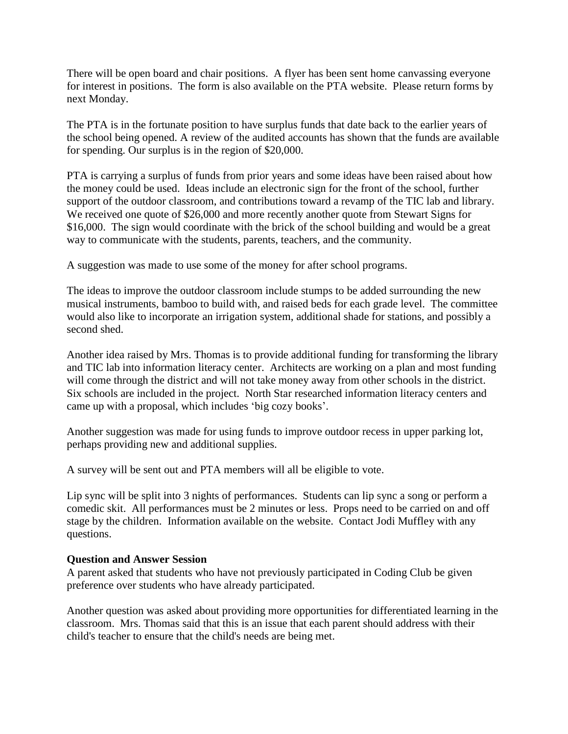There will be open board and chair positions. A flyer has been sent home canvassing everyone for interest in positions. The form is also available on the PTA website. Please return forms by next Monday.

The PTA is in the fortunate position to have surplus funds that date back to the earlier years of the school being opened. A review of the audited accounts has shown that the funds are available for spending. Our surplus is in the region of \$20,000.

PTA is carrying a surplus of funds from prior years and some ideas have been raised about how the money could be used. Ideas include an electronic sign for the front of the school, further support of the outdoor classroom, and contributions toward a revamp of the TIC lab and library. We received one quote of \$26,000 and more recently another quote from Stewart Signs for \$16,000. The sign would coordinate with the brick of the school building and would be a great way to communicate with the students, parents, teachers, and the community.

A suggestion was made to use some of the money for after school programs.

The ideas to improve the outdoor classroom include stumps to be added surrounding the new musical instruments, bamboo to build with, and raised beds for each grade level. The committee would also like to incorporate an irrigation system, additional shade for stations, and possibly a second shed.

Another idea raised by Mrs. Thomas is to provide additional funding for transforming the library and TIC lab into information literacy center. Architects are working on a plan and most funding will come through the district and will not take money away from other schools in the district. Six schools are included in the project. North Star researched information literacy centers and came up with a proposal, which includes 'big cozy books'.

Another suggestion was made for using funds to improve outdoor recess in upper parking lot, perhaps providing new and additional supplies.

A survey will be sent out and PTA members will all be eligible to vote.

Lip sync will be split into 3 nights of performances. Students can lip sync a song or perform a comedic skit. All performances must be 2 minutes or less. Props need to be carried on and off stage by the children. Information available on the website. Contact Jodi Muffley with any questions.

## **Question and Answer Session**

A parent asked that students who have not previously participated in Coding Club be given preference over students who have already participated.

Another question was asked about providing more opportunities for differentiated learning in the classroom. Mrs. Thomas said that this is an issue that each parent should address with their child's teacher to ensure that the child's needs are being met.